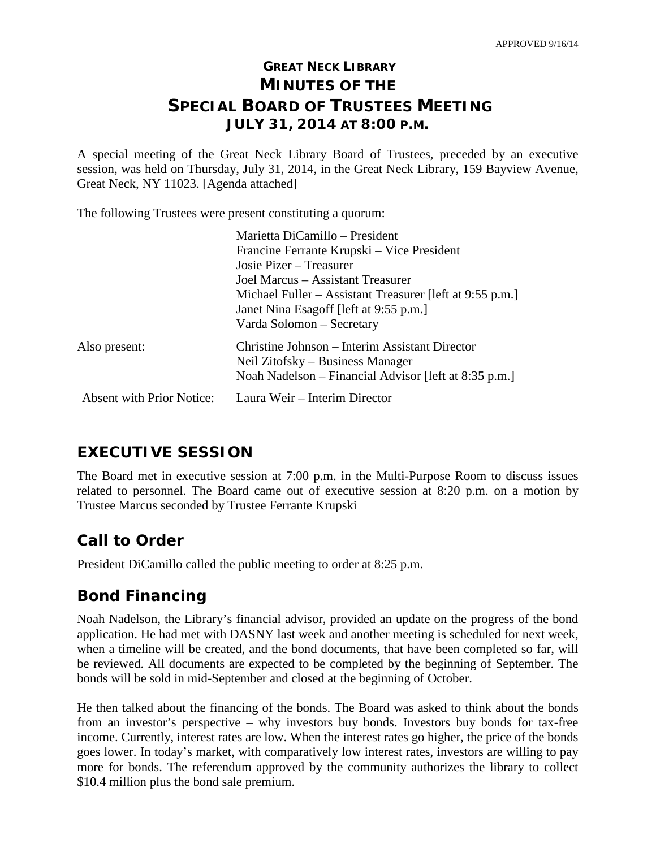# **GREAT NECK LIBRARY MINUTES OF THE SPECIAL BOARD OF TRUSTEES MEETING JULY 31, 2014 AT 8:00 P.M.**

A special meeting of the Great Neck Library Board of Trustees, preceded by an executive session, was held on Thursday, July 31, 2014, in the Great Neck Library, 159 Bayview Avenue, Great Neck, NY 11023. [Agenda attached]

The following Trustees were present constituting a quorum:

|                                  | Marietta DiCamillo - President                           |
|----------------------------------|----------------------------------------------------------|
|                                  | Francine Ferrante Krupski – Vice President               |
|                                  | Josie Pizer – Treasurer                                  |
|                                  | Joel Marcus – Assistant Treasurer                        |
|                                  | Michael Fuller – Assistant Treasurer [left at 9:55 p.m.] |
|                                  | Janet Nina Esagoff [left at 9:55 p.m.]                   |
|                                  | Varda Solomon – Secretary                                |
| Also present:                    | Christine Johnson – Interim Assistant Director           |
|                                  | Neil Zitofsky – Business Manager                         |
|                                  | Noah Nadelson – Financial Advisor [left at 8:35 p.m.]    |
| <b>Absent with Prior Notice:</b> | Laura Weir - Interim Director                            |

# **EXECUTIVE SESSION**

The Board met in executive session at 7:00 p.m. in the Multi-Purpose Room to discuss issues related to personnel. The Board came out of executive session at 8:20 p.m. on a motion by Trustee Marcus seconded by Trustee Ferrante Krupski

# **Call to Order**

President DiCamillo called the public meeting to order at 8:25 p.m.

# **Bond Financing**

Noah Nadelson, the Library's financial advisor, provided an update on the progress of the bond application. He had met with DASNY last week and another meeting is scheduled for next week, when a timeline will be created, and the bond documents, that have been completed so far, will be reviewed. All documents are expected to be completed by the beginning of September. The bonds will be sold in mid-September and closed at the beginning of October.

He then talked about the financing of the bonds. The Board was asked to think about the bonds from an investor's perspective – why investors buy bonds. Investors buy bonds for tax-free income. Currently, interest rates are low. When the interest rates go higher, the price of the bonds goes lower. In today's market, with comparatively low interest rates, investors are willing to pay more for bonds. The referendum approved by the community authorizes the library to collect \$10.4 million plus the bond sale premium.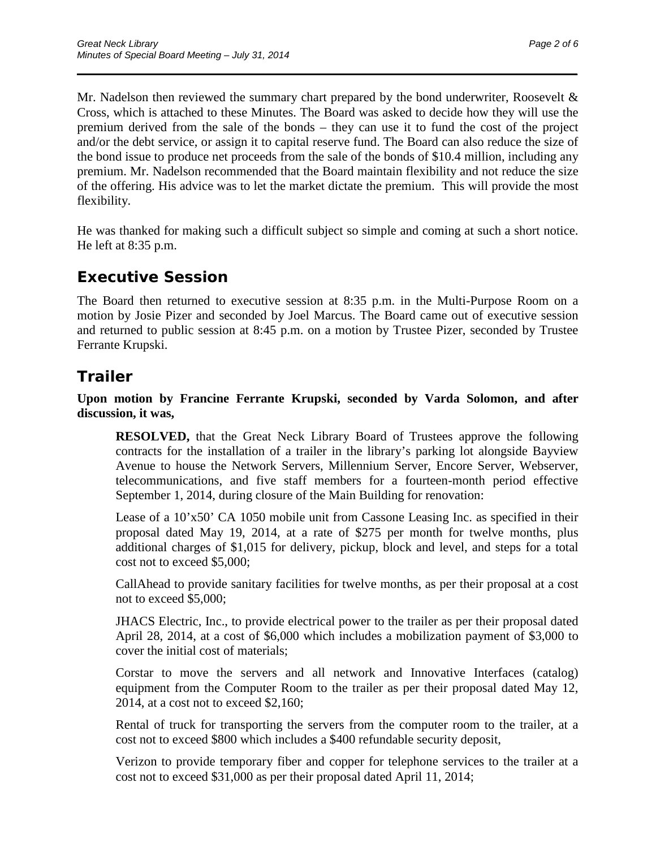Mr. Nadelson then reviewed the summary chart prepared by the bond underwriter, Roosevelt & Cross, which is attached to these Minutes. The Board was asked to decide how they will use the premium derived from the sale of the bonds – they can use it to fund the cost of the project and/or the debt service, or assign it to capital reserve fund. The Board can also reduce the size of the bond issue to produce net proceeds from the sale of the bonds of \$10.4 million, including any premium. Mr. Nadelson recommended that the Board maintain flexibility and not reduce the size of the offering. His advice was to let the market dictate the premium. This will provide the most flexibility.

\_\_\_\_\_\_\_\_\_\_\_\_\_\_\_\_\_\_\_\_\_\_\_\_\_\_\_\_\_\_\_\_\_\_\_\_\_\_\_\_\_\_\_\_\_\_\_\_\_\_\_\_\_\_\_\_\_\_\_\_\_\_\_\_\_\_\_\_\_\_

He was thanked for making such a difficult subject so simple and coming at such a short notice. He left at 8:35 p.m.

# **Executive Session**

The Board then returned to executive session at 8:35 p.m. in the Multi-Purpose Room on a motion by Josie Pizer and seconded by Joel Marcus. The Board came out of executive session and returned to public session at 8:45 p.m. on a motion by Trustee Pizer, seconded by Trustee Ferrante Krupski.

# **Trailer**

**Upon motion by Francine Ferrante Krupski, seconded by Varda Solomon, and after discussion, it was,**

**RESOLVED,** that the Great Neck Library Board of Trustees approve the following contracts for the installation of a trailer in the library's parking lot alongside Bayview Avenue to house the Network Servers, Millennium Server, Encore Server, Webserver, telecommunications, and five staff members for a fourteen-month period effective September 1, 2014, during closure of the Main Building for renovation:

Lease of a 10'x50' CA 1050 mobile unit from Cassone Leasing Inc. as specified in their proposal dated May 19, 2014, at a rate of \$275 per month for twelve months, plus additional charges of \$1,015 for delivery, pickup, block and level, and steps for a total cost not to exceed \$5,000;

CallAhead to provide sanitary facilities for twelve months, as per their proposal at a cost not to exceed \$5,000;

JHACS Electric, Inc., to provide electrical power to the trailer as per their proposal dated April 28, 2014, at a cost of \$6,000 which includes a mobilization payment of \$3,000 to cover the initial cost of materials;

Corstar to move the servers and all network and Innovative Interfaces (catalog) equipment from the Computer Room to the trailer as per their proposal dated May 12, 2014, at a cost not to exceed \$2,160;

Rental of truck for transporting the servers from the computer room to the trailer, at a cost not to exceed \$800 which includes a \$400 refundable security deposit,

Verizon to provide temporary fiber and copper for telephone services to the trailer at a cost not to exceed \$31,000 as per their proposal dated April 11, 2014;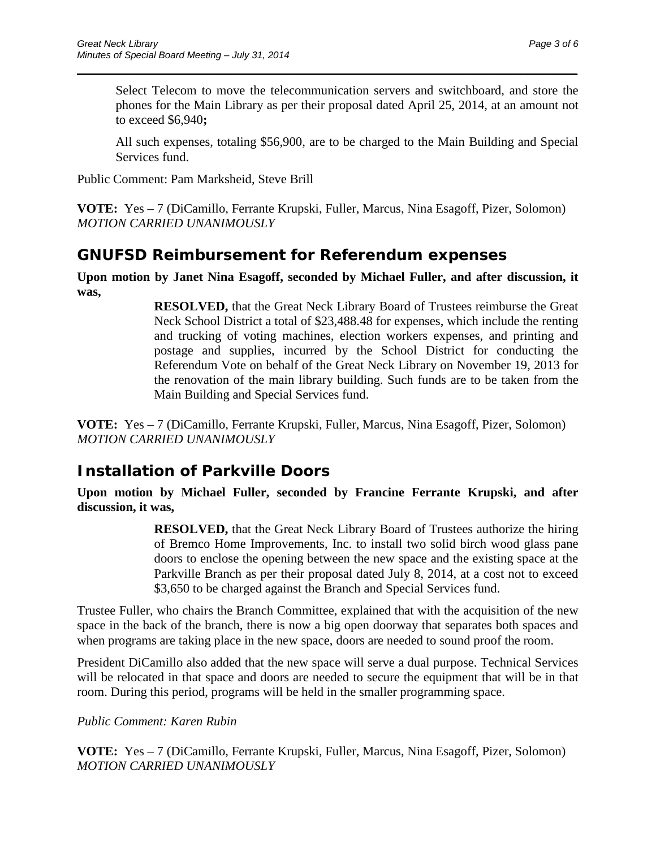Select Telecom to move the telecommunication servers and switchboard, and store the phones for the Main Library as per their proposal dated April 25, 2014, at an amount not to exceed \$6,940**;**

\_\_\_\_\_\_\_\_\_\_\_\_\_\_\_\_\_\_\_\_\_\_\_\_\_\_\_\_\_\_\_\_\_\_\_\_\_\_\_\_\_\_\_\_\_\_\_\_\_\_\_\_\_\_\_\_\_\_\_\_\_\_\_\_\_\_\_\_\_\_

All such expenses, totaling \$56,900, are to be charged to the Main Building and Special Services fund.

Public Comment: Pam Marksheid, Steve Brill

**VOTE:** Yes – 7 (DiCamillo, Ferrante Krupski, Fuller, Marcus, Nina Esagoff, Pizer, Solomon) *MOTION CARRIED UNANIMOUSLY* 

#### **GNUFSD Reimbursement for Referendum expenses**

**Upon motion by Janet Nina Esagoff, seconded by Michael Fuller, and after discussion, it was,**

> **RESOLVED,** that the Great Neck Library Board of Trustees reimburse the Great Neck School District a total of \$23,488.48 for expenses, which include the renting and trucking of voting machines, election workers expenses, and printing and postage and supplies, incurred by the School District for conducting the Referendum Vote on behalf of the Great Neck Library on November 19, 2013 for the renovation of the main library building. Such funds are to be taken from the Main Building and Special Services fund.

**VOTE:** Yes – 7 (DiCamillo, Ferrante Krupski, Fuller, Marcus, Nina Esagoff, Pizer, Solomon) *MOTION CARRIED UNANIMOUSLY*

### **Installation of Parkville Doors**

**Upon motion by Michael Fuller, seconded by Francine Ferrante Krupski, and after discussion, it was,**

> **RESOLVED,** that the Great Neck Library Board of Trustees authorize the hiring of Bremco Home Improvements, Inc. to install two solid birch wood glass pane doors to enclose the opening between the new space and the existing space at the Parkville Branch as per their proposal dated July 8, 2014, at a cost not to exceed \$3,650 to be charged against the Branch and Special Services fund.

Trustee Fuller, who chairs the Branch Committee, explained that with the acquisition of the new space in the back of the branch, there is now a big open doorway that separates both spaces and when programs are taking place in the new space, doors are needed to sound proof the room.

President DiCamillo also added that the new space will serve a dual purpose. Technical Services will be relocated in that space and doors are needed to secure the equipment that will be in that room. During this period, programs will be held in the smaller programming space.

*Public Comment: Karen Rubin*

**VOTE:** Yes – 7 (DiCamillo, Ferrante Krupski, Fuller, Marcus, Nina Esagoff, Pizer, Solomon) *MOTION CARRIED UNANIMOUSLY*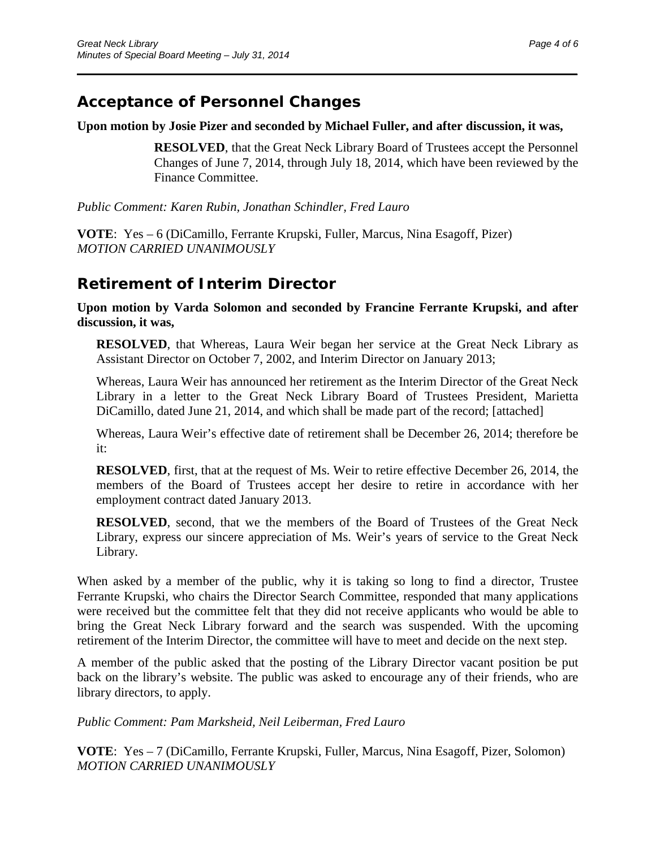### **Acceptance of Personnel Changes**

#### **Upon motion by Josie Pizer and seconded by Michael Fuller, and after discussion, it was,**

\_\_\_\_\_\_\_\_\_\_\_\_\_\_\_\_\_\_\_\_\_\_\_\_\_\_\_\_\_\_\_\_\_\_\_\_\_\_\_\_\_\_\_\_\_\_\_\_\_\_\_\_\_\_\_\_\_\_\_\_\_\_\_\_\_\_\_\_\_\_

**RESOLVED**, that the Great Neck Library Board of Trustees accept the Personnel Changes of June 7, 2014, through July 18, 2014, which have been reviewed by the Finance Committee.

*Public Comment: Karen Rubin, Jonathan Schindler, Fred Lauro*

**VOTE**: Yes – 6 (DiCamillo, Ferrante Krupski, Fuller, Marcus, Nina Esagoff, Pizer) *MOTION CARRIED UNANIMOUSLY*

### **Retirement of Interim Director**

**Upon motion by Varda Solomon and seconded by Francine Ferrante Krupski, and after discussion, it was,**

**RESOLVED**, that Whereas, Laura Weir began her service at the Great Neck Library as Assistant Director on October 7, 2002, and Interim Director on January 2013;

Whereas, Laura Weir has announced her retirement as the Interim Director of the Great Neck Library in a letter to the Great Neck Library Board of Trustees President, Marietta DiCamillo, dated June 21, 2014, and which shall be made part of the record; [attached]

Whereas, Laura Weir's effective date of retirement shall be December 26, 2014; therefore be it:

**RESOLVED**, first, that at the request of Ms. Weir to retire effective December 26, 2014, the members of the Board of Trustees accept her desire to retire in accordance with her employment contract dated January 2013.

**RESOLVED**, second, that we the members of the Board of Trustees of the Great Neck Library, express our sincere appreciation of Ms. Weir's years of service to the Great Neck Library.

When asked by a member of the public, why it is taking so long to find a director, Trustee Ferrante Krupski, who chairs the Director Search Committee, responded that many applications were received but the committee felt that they did not receive applicants who would be able to bring the Great Neck Library forward and the search was suspended. With the upcoming retirement of the Interim Director, the committee will have to meet and decide on the next step.

A member of the public asked that the posting of the Library Director vacant position be put back on the library's website. The public was asked to encourage any of their friends, who are library directors, to apply.

*Public Comment: Pam Marksheid, Neil Leiberman, Fred Lauro*

**VOTE**: Yes – 7 (DiCamillo, Ferrante Krupski, Fuller, Marcus, Nina Esagoff, Pizer, Solomon) *MOTION CARRIED UNANIMOUSLY*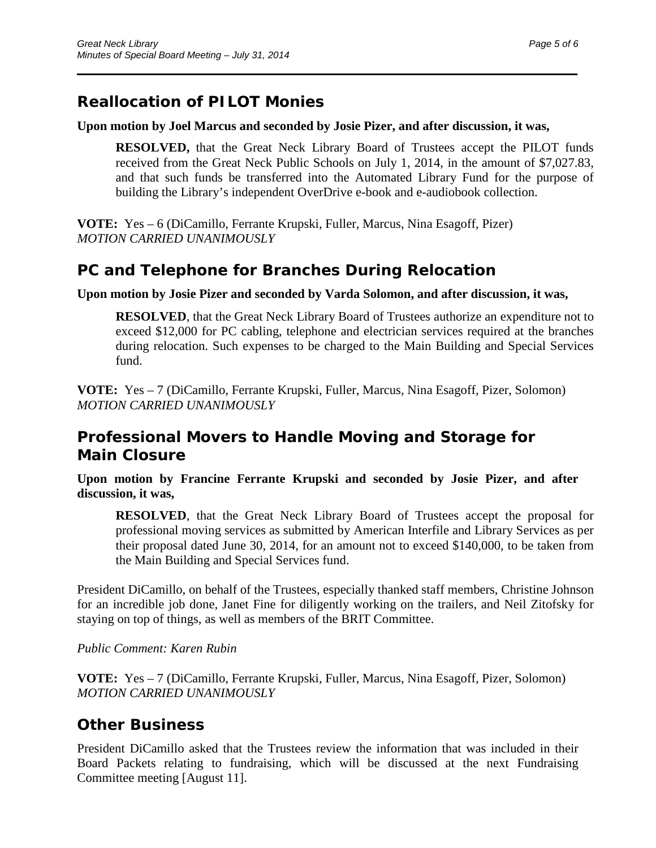### **Reallocation of PILOT Monies**

#### **Upon motion by Joel Marcus and seconded by Josie Pizer, and after discussion, it was,**

\_\_\_\_\_\_\_\_\_\_\_\_\_\_\_\_\_\_\_\_\_\_\_\_\_\_\_\_\_\_\_\_\_\_\_\_\_\_\_\_\_\_\_\_\_\_\_\_\_\_\_\_\_\_\_\_\_\_\_\_\_\_\_\_\_\_\_\_\_\_

**RESOLVED,** that the Great Neck Library Board of Trustees accept the PILOT funds received from the Great Neck Public Schools on July 1, 2014, in the amount of \$7,027.83, and that such funds be transferred into the Automated Library Fund for the purpose of building the Library's independent OverDrive e-book and e-audiobook collection.

**VOTE:** Yes – 6 (DiCamillo, Ferrante Krupski, Fuller, Marcus, Nina Esagoff, Pizer) *MOTION CARRIED UNANIMOUSLY*

#### **PC and Telephone for Branches During Relocation**

#### **Upon motion by Josie Pizer and seconded by Varda Solomon, and after discussion, it was,**

**RESOLVED**, that the Great Neck Library Board of Trustees authorize an expenditure not to exceed \$12,000 for PC cabling, telephone and electrician services required at the branches during relocation. Such expenses to be charged to the Main Building and Special Services fund.

**VOTE:** Yes – 7 (DiCamillo, Ferrante Krupski, Fuller, Marcus, Nina Esagoff, Pizer, Solomon) *MOTION CARRIED UNANIMOUSLY*

#### **Professional Movers to Handle Moving and Storage for Main Closure**

**Upon motion by Francine Ferrante Krupski and seconded by Josie Pizer, and after discussion, it was,**

**RESOLVED**, that the Great Neck Library Board of Trustees accept the proposal for professional moving services as submitted by American Interfile and Library Services as per their proposal dated June 30, 2014, for an amount not to exceed \$140,000, to be taken from the Main Building and Special Services fund.

President DiCamillo, on behalf of the Trustees, especially thanked staff members, Christine Johnson for an incredible job done, Janet Fine for diligently working on the trailers, and Neil Zitofsky for staying on top of things, as well as members of the BRIT Committee.

#### *Public Comment: Karen Rubin*

**VOTE:** Yes – 7 (DiCamillo, Ferrante Krupski, Fuller, Marcus, Nina Esagoff, Pizer, Solomon) *MOTION CARRIED UNANIMOUSLY*

#### **Other Business**

President DiCamillo asked that the Trustees review the information that was included in their Board Packets relating to fundraising, which will be discussed at the next Fundraising Committee meeting [August 11].